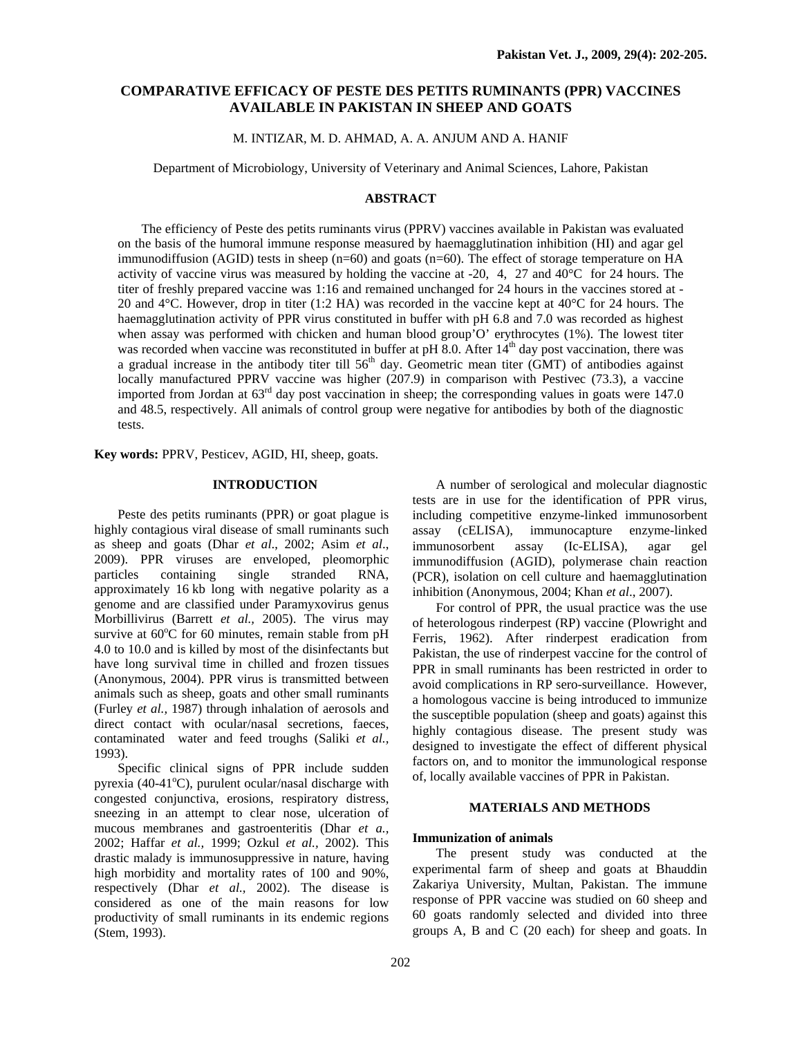# **COMPARATIVE EFFICACY OF PESTE DES PETITS RUMINANTS (PPR) VACCINES AVAILABLE IN PAKISTAN IN SHEEP AND GOATS**

M. INTIZAR, M. D. AHMAD, A. A. ANJUM AND A. HANIF

Department of Microbiology, University of Veterinary and Animal Sciences, Lahore, Pakistan

### **ABSTRACT**

The efficiency of Peste des petits ruminants virus (PPRV) vaccines available in Pakistan was evaluated on the basis of the humoral immune response measured by haemagglutination inhibition (HI) and agar gel immunodiffusion (AGID) tests in sheep ( $n=60$ ) and goats ( $n=60$ ). The effect of storage temperature on HA activity of vaccine virus was measured by holding the vaccine at -20, 4, 27 and  $40^{\circ}$ C for 24 hours. The titer of freshly prepared vaccine was 1:16 and remained unchanged for 24 hours in the vaccines stored at - 20 and 4°C. However, drop in titer (1:2 HA) was recorded in the vaccine kept at 40°C for 24 hours. The haemagglutination activity of PPR virus constituted in buffer with pH 6.8 and 7.0 was recorded as highest when assay was performed with chicken and human blood group'O' erythrocytes (1%). The lowest titer was recorded when vaccine was reconstituted in buffer at pH 8.0. After  $14<sup>th</sup>$  day post vaccination, there was a gradual increase in the antibody titer till  $56<sup>th</sup>$  day. Geometric mean titer (GMT) of antibodies against locally manufactured PPRV vaccine was higher (207.9) in comparison with Pestivec (73.3), a vaccine imported from Jordan at  $63<sup>rd</sup>$  day post vaccination in sheep; the corresponding values in goats were 147.0 and 48.5, respectively. All animals of control group were negative for antibodies by both of the diagnostic tests.

**Key words:** PPRV, Pesticev, AGID, HI, sheep, goats.

## **INTRODUCTION**

Peste des petits ruminants (PPR) or goat plague is highly contagious viral disease of small ruminants such as sheep and goats (Dhar *et al*., 2002; Asim *et al*., 2009). PPR viruses are enveloped, pleomorphic particles containing single stranded RNA, approximately 16 kb long with negative polarity as a genome and are classified under Paramyxovirus genus Morbillivirus (Barrett *et al.,* 2005). The virus may survive at  $60^{\circ}$ C for 60 minutes, remain stable from pH 4.0 to 10.0 and is killed by most of the disinfectants but have long survival time in chilled and frozen tissues (Anonymous, 2004). PPR virus is transmitted between animals such as sheep, goats and other small ruminants (Furley *et al.,* 1987) through inhalation of aerosols and direct contact with ocular/nasal secretions, faeces, contaminated water and feed troughs (Saliki *et al.,* 1993).

Specific clinical signs of PPR include sudden pyrexia (40-41°C), purulent ocular/nasal discharge with congested conjunctiva, erosions, respiratory distress, sneezing in an attempt to clear nose, ulceration of mucous membranes and gastroenteritis (Dhar *et a.,* 2002; Haffar *et al.,* 1999; Ozkul *et al.,* 2002). This drastic malady is immunosuppressive in nature, having high morbidity and mortality rates of 100 and 90%, respectively (Dhar *et al.,* 2002). The disease is considered as one of the main reasons for low productivity of small ruminants in its endemic regions (Stem, 1993).

A number of serological and molecular diagnostic tests are in use for the identification of PPR virus, including competitive enzyme-linked immunosorbent assay (cELISA), immunocapture enzyme-linked immunosorbent assay (Ic-ELISA), agar gel immunodiffusion (AGID), polymerase chain reaction (PCR), isolation on cell culture and haemagglutination inhibition (Anonymous, 2004; Khan *et al*., 2007).

For control of PPR, the usual practice was the use of heterologous rinderpest (RP) vaccine (Plowright and Ferris, 1962). After rinderpest eradication from Pakistan, the use of rinderpest vaccine for the control of PPR in small ruminants has been restricted in order to avoid complications in RP sero-surveillance. However, a homologous vaccine is being introduced to immunize the susceptible population (sheep and goats) against this highly contagious disease. The present study was designed to investigate the effect of different physical factors on, and to monitor the immunological response of, locally available vaccines of PPR in Pakistan.

### **MATERIALS AND METHODS**

## **Immunization of animals**

The present study was conducted at the experimental farm of sheep and goats at Bhauddin Zakariya University, Multan, Pakistan. The immune response of PPR vaccine was studied on 60 sheep and 60 goats randomly selected and divided into three groups A, B and C (20 each) for sheep and goats. In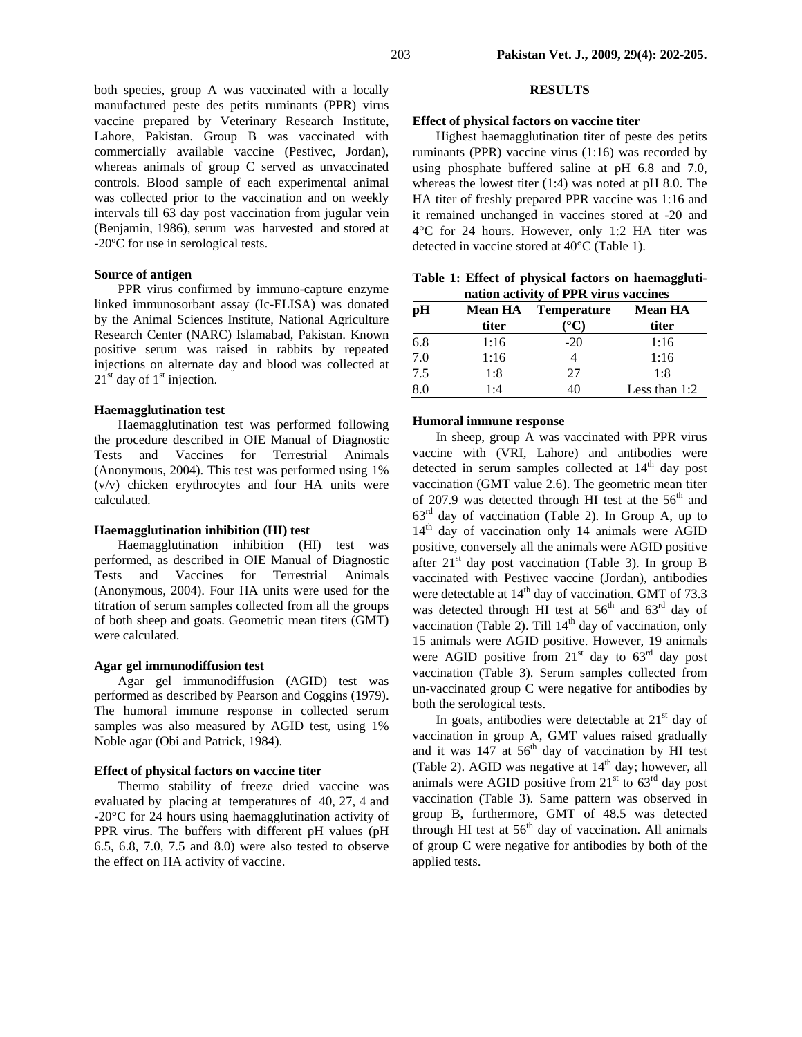both species, group A was vaccinated with a locally manufactured peste des petits ruminants (PPR) virus vaccine prepared by Veterinary Research Institute, Lahore, Pakistan. Group B was vaccinated with commercially available vaccine (Pestivec, Jordan), whereas animals of group C served as unvaccinated controls. Blood sample of each experimental animal was collected prior to the vaccination and on weekly intervals till 63 day post vaccination from jugular vein (Benjamin, 1986), serum was harvested and stored at -20ºC for use in serological tests.

## **Source of antigen**

PPR virus confirmed by immuno-capture enzyme linked immunosorbant assay (Ic-ELISA) was donated by the Animal Sciences Institute, National Agriculture Research Center (NARC) Islamabad, Pakistan. Known positive serum was raised in rabbits by repeated injections on alternate day and blood was collected at  $21<sup>st</sup>$  day of  $1<sup>st</sup>$  injection.

### **Haemagglutination test**

Haemagglutination test was performed following the procedure described in OIE Manual of Diagnostic Tests and Vaccines for Terrestrial Animals (Anonymous, 2004). This test was performed using 1% (v/v) chicken erythrocytes and four HA units were calculated.

### **Haemagglutination inhibition (HI) test**

Haemagglutination inhibition (HI) test was performed, as described in OIE Manual of Diagnostic Tests and Vaccines for Terrestrial Animals (Anonymous, 2004). Four HA units were used for the titration of serum samples collected from all the groups of both sheep and goats. Geometric mean titers (GMT) were calculated.

#### **Agar gel immunodiffusion test**

Agar gel immunodiffusion (AGID) test was performed as described by Pearson and Coggins (1979). The humoral immune response in collected serum samples was also measured by AGID test, using 1% Noble agar (Obi and Patrick, 1984).

### **Effect of physical factors on vaccine titer**

Thermo stability of freeze dried vaccine was evaluated by placing at temperatures of 40, 27, 4 and -20°C for 24 hours using haemagglutination activity of PPR virus. The buffers with different pH values (pH 6.5, 6.8, 7.0, 7.5 and 8.0) were also tested to observe the effect on HA activity of vaccine.

#### **RESULTS**

### **Effect of physical factors on vaccine titer**

Highest haemagglutination titer of peste des petits ruminants (PPR) vaccine virus (1:16) was recorded by using phosphate buffered saline at pH 6.8 and 7.0, whereas the lowest titer (1:4) was noted at pH 8.0. The HA titer of freshly prepared PPR vaccine was 1:16 and it remained unchanged in vaccines stored at -20 and 4°C for 24 hours. However, only 1:2 HA titer was detected in vaccine stored at 40°C (Table 1).

**Table 1: Effect of physical factors on haemagglutination activity of PPR virus vaccines** 

| pH  | <b>Mean HA</b> | <b>Temperature</b> | <b>Mean HA</b>  |  |
|-----|----------------|--------------------|-----------------|--|
|     | titer          | $^{\circ}$ C)      | titer           |  |
| 6.8 | 1:16           | $-20$              | 1:16            |  |
| 7.0 | 1:16           |                    | 1:16            |  |
| 7.5 | 1:8            | 27                 | 1:8             |  |
| 8.0 | 1:4            | 40                 | Less than $1:2$ |  |

#### **Humoral immune response**

In sheep, group A was vaccinated with PPR virus vaccine with (VRI, Lahore) and antibodies were detected in serum samples collected at  $14<sup>th</sup>$  day post vaccination (GMT value 2.6). The geometric mean titer of 207.9 was detected through HI test at the  $56<sup>th</sup>$  and  $63<sup>rd</sup>$  day of vaccination (Table 2). In Group A, up to  $14<sup>th</sup>$  day of vaccination only 14 animals were AGID positive, conversely all the animals were AGID positive after  $21<sup>st</sup>$  day post vaccination (Table 3). In group B vaccinated with Pestivec vaccine (Jordan), antibodies were detectable at  $14<sup>th</sup>$  day of vaccination. GMT of 73.3 was detected through HI test at  $56<sup>th</sup>$  and  $63<sup>rd</sup>$  day of vaccination (Table 2). Till  $14<sup>th</sup>$  day of vaccination, only 15 animals were AGID positive. However, 19 animals were AGID positive from  $21<sup>st</sup>$  day to  $63<sup>rd</sup>$  day post vaccination (Table 3). Serum samples collected from un-vaccinated group C were negative for antibodies by both the serological tests.

In goats, antibodies were detectable at  $21<sup>st</sup>$  day of vaccination in group A, GMT values raised gradually and it was  $147$  at  $56<sup>th</sup>$  day of vaccination by HI test (Table 2). AGID was negative at  $14<sup>th</sup>$  day; however, all animals were AGID positive from  $21<sup>st</sup>$  to  $63<sup>rd</sup>$  day post vaccination (Table 3). Same pattern was observed in group B, furthermore, GMT of 48.5 was detected through HI test at  $56<sup>th</sup>$  day of vaccination. All animals of group C were negative for antibodies by both of the applied tests.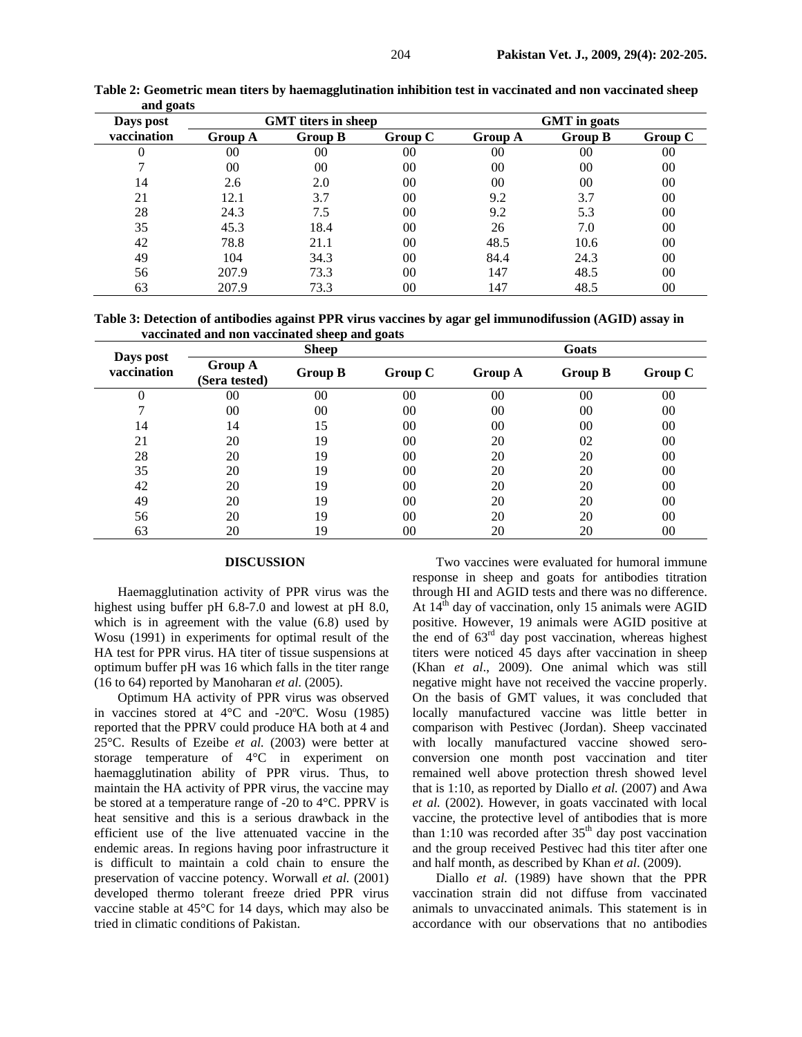| -<br>Days post | <b>GMT</b> titers in sheep |                |         | <b>GMT</b> in goats |                |                |
|----------------|----------------------------|----------------|---------|---------------------|----------------|----------------|
| vaccination    | <b>Group A</b>             | <b>Group B</b> | Group C | <b>Group A</b>      | <b>Group B</b> | Group C        |
| 0              | $00\,$                     | 00             | 00      | 00                  | 00             | 00             |
|                | 00                         | 00             | 00      | 00                  | 00             | 00             |
| 14             | 2.6                        | 2.0            | 00      | $00\,$              | 00             | 00             |
| 21             | 12.1                       | 3.7            | 00      | 9.2                 | 3.7            | 00             |
| 28             | 24.3                       | 7.5            | 00      | 9.2                 | 5.3            | 00             |
| 35             | 45.3                       | 18.4           | 00      | 26                  | 7.0            | 00             |
| 42             | 78.8                       | 21.1           | 00      | 48.5                | 10.6           | 00             |
| 49             | 104                        | 34.3           | 00      | 84.4                | 24.3           | 0 <sup>0</sup> |
| 56             | 207.9                      | 73.3           | 00      | 147                 | 48.5           | 00             |
| 63             | 207.9                      | 73.3           | 00      | 147                 | 48.5           | 00             |

**Table 2: Geometric mean titers by haemagglutination inhibition test in vaccinated and non vaccinated sheep and goats** 

**Table 3: Detection of antibodies against PPR virus vaccines by agar gel immunodifussion (AGID) assay in vaccinated and non vaccinated sheep and goats** 

| Days post<br>vaccination | <b>Sheep</b>                    |                |         | Goats   |                |         |
|--------------------------|---------------------------------|----------------|---------|---------|----------------|---------|
|                          | <b>Group A</b><br>(Sera tested) | <b>Group B</b> | Group C | Group A | <b>Group B</b> | Group C |
|                          | 00                              | 00             | 00      | 00      | 00             | 00      |
|                          | 00                              | 00             | 00      | 00      | 00             | 00      |
| 14                       | 14                              | 15             | 00      | 00      | 00             | 00      |
| 21                       | 20                              | 19             | 00      | 20      | 02             | 00      |
| 28                       | 20                              | 19             | 00      | 20      | 20             | 00      |
| 35                       | 20                              | 19             | 00      | 20      | 20             | 00      |
| 42                       | 20                              | 19             | 00      | 20      | 20             | 00      |
| 49                       | 20                              | 19             | 00      | 20      | 20             | 00      |
| 56                       | 20                              | 19             | 00      | 20      | 20             | 00      |
| 63                       | 20                              | 19             | 00      | 20      | 20             | 00      |

## **DISCUSSION**

Haemagglutination activity of PPR virus was the highest using buffer pH 6.8-7.0 and lowest at pH 8.0, which is in agreement with the value (6.8) used by Wosu (1991) in experiments for optimal result of the HA test for PPR virus. HA titer of tissue suspensions at optimum buffer pH was 16 which falls in the titer range (16 to 64) reported by Manoharan *et al*. (2005).

Optimum HA activity of PPR virus was observed in vaccines stored at 4°C and -20ºC. Wosu (1985) reported that the PPRV could produce HA both at 4 and 25°C. Results of Ezeibe *et al.* (2003) were better at storage temperature of 4°C in experiment on haemagglutination ability of PPR virus. Thus, to maintain the HA activity of PPR virus, the vaccine may be stored at a temperature range of -20 to 4°C. PPRV is heat sensitive and this is a serious drawback in the efficient use of the live attenuated vaccine in the endemic areas. In regions having poor infrastructure it is difficult to maintain a cold chain to ensure the preservation of vaccine potency. Worwall *et al.* (2001) developed thermo tolerant freeze dried PPR virus vaccine stable at 45°C for 14 days, which may also be tried in climatic conditions of Pakistan.

Two vaccines were evaluated for humoral immune response in sheep and goats for antibodies titration through HI and AGID tests and there was no difference. At  $14<sup>th</sup>$  day of vaccination, only 15 animals were AGID positive. However, 19 animals were AGID positive at the end of  $63<sup>rd</sup>$  day post vaccination, whereas highest titers were noticed 45 days after vaccination in sheep (Khan *et al*., 2009). One animal which was still negative might have not received the vaccine properly. On the basis of GMT values, it was concluded that locally manufactured vaccine was little better in comparison with Pestivec (Jordan). Sheep vaccinated with locally manufactured vaccine showed seroconversion one month post vaccination and titer remained well above protection thresh showed level that is 1:10, as reported by Diallo *et al.* (2007) and Awa *et al.* (2002). However, in goats vaccinated with local vaccine, the protective level of antibodies that is more than 1:10 was recorded after  $35<sup>th</sup>$  day post vaccination and the group received Pestivec had this titer after one and half month, as described by Khan *et al*. (2009).

Diallo *et al*. (1989) have shown that the PPR vaccination strain did not diffuse from vaccinated animals to unvaccinated animals. This statement is in accordance with our observations that no antibodies